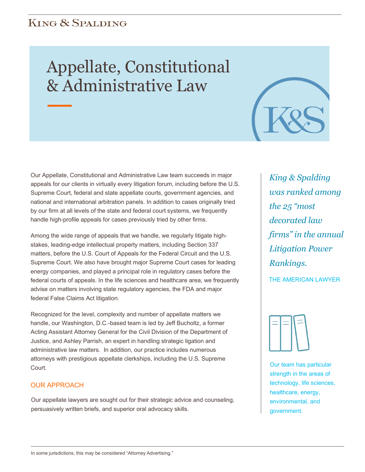## **KING & SPALDING**

# Appellate, Constitutional & Administrative Law

Our Appellate, Constitutional and Administrative Law team succeeds in major appeals for our clients in virtually every litigation forum, including before the U.S. Supreme Court, federal and state appellate courts, government agencies, and national and international arbitration panels. In addition to cases originally tried by our firm at all levels of the state and federal court systems, we frequently handle high-profile appeals for cases previously tried by other firms.

Among the wide range of appeals that we handle, we regularly litigate highstakes, leading-edge intellectual property matters, including Section 337 matters, before the U.S. Court of Appeals for the Federal Circuit and the U.S. Supreme Court. We also have brought major Supreme Court cases for leading energy companies, and played a principal role in regulatory cases before the federal courts of appeals. In the life sciences and healthcare area, we frequently advise on matters involving state regulatory agencies, the FDA and major federal False Claims Act litigation.

Recognized for the level, complexity and number of appellate matters we handle, our Washington, D.C.-based team is led by Jeff Bucholtz, a former Acting Assistant Attorney General for the Civil Division of the Department of Justice, and Ashley Parrish, an expert in handling strategic ligation and administrative law matters. In addition, our practice includes numerous attorneys with prestigious appellate clerkships, including the U.S. Supreme Court.

#### OUR APPROACH

Our appellate lawyers are sought out for their strategic advice and counseling, persuasively written briefs, and superior oral advocacy skills.

*King & Spalding was ranked among the 25 "most decorated law firms" in the annual Litigation Power Rankings.*

THE AMERICAN LAWYER



Our team has particular strength in the areas of technology, life sciences, healthcare, energy, environmental, and government.